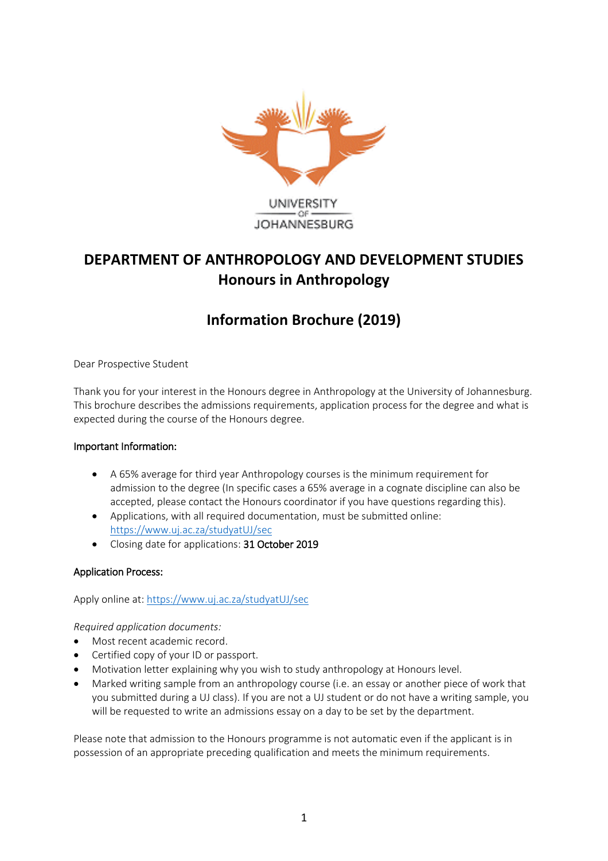

# **DEPARTMENT OF ANTHROPOLOGY AND DEVELOPMENT STUDIES Honours in Anthropology**

## **Information Brochure (2019)**

Dear Prospective Student

Thank you for your interest in the Honours degree in Anthropology at the University of Johannesburg. This brochure describes the admissions requirements, application process for the degree and what is expected during the course of the Honours degree.

## Important Information:

- A 65% average for third year Anthropology courses is the minimum requirement for admission to the degree (In specific cases a 65% average in a cognate discipline can also be accepted, please contact the Honours coordinator if you have questions regarding this).
- Applications, with all required documentation, must be submitted online: <https://www.uj.ac.za/studyatUJ/sec>
- Closing date for applications: 31 October 2019

## Application Process:

Apply online at[: https://www.uj.ac.za/studyatUJ/sec](https://www.uj.ac.za/studyatUJ/sec)

*Required application documents:*

- Most recent academic record.
- Certified copy of your ID or passport.
- Motivation letter explaining why you wish to study anthropology at Honours level.
- Marked writing sample from an anthropology course (i.e. an essay or another piece of work that you submitted during a UJ class). If you are not a UJ student or do not have a writing sample, you will be requested to write an admissions essay on a day to be set by the department.

Please note that admission to the Honours programme is not automatic even if the applicant is in possession of an appropriate preceding qualification and meets the minimum requirements.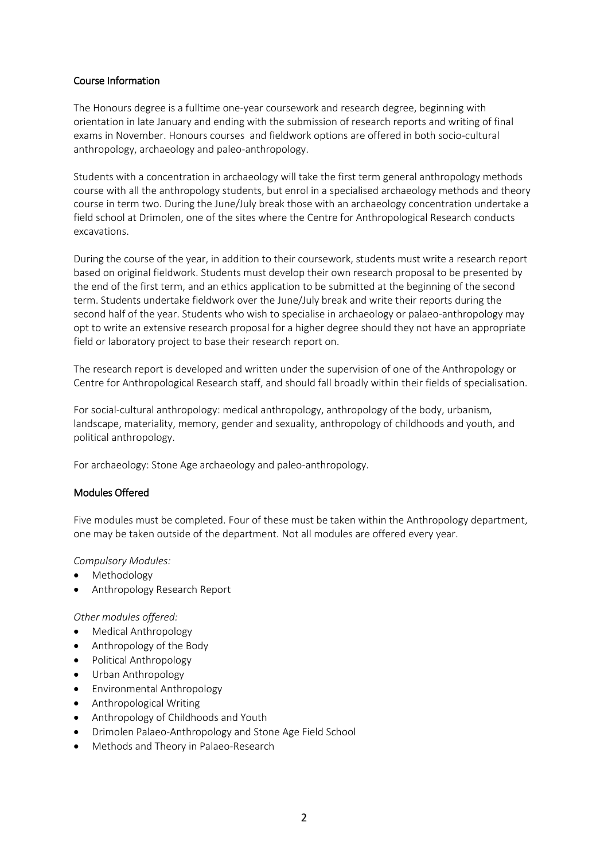#### Course Information

The Honours degree is a fulltime one-year coursework and research degree, beginning with orientation in late January and ending with the submission of research reports and writing of final exams in November. Honours courses and fieldwork options are offered in both socio-cultural anthropology, archaeology and paleo-anthropology.

Students with a concentration in archaeology will take the first term general anthropology methods course with all the anthropology students, but enrol in a specialised archaeology methods and theory course in term two. During the June/July break those with an archaeology concentration undertake a field school at Drimolen, one of the sites where the Centre for Anthropological Research conducts excavations.

During the course of the year, in addition to their coursework, students must write a research report based on original fieldwork. Students must develop their own research proposal to be presented by the end of the first term, and an ethics application to be submitted at the beginning of the second term. Students undertake fieldwork over the June/July break and write their reports during the second half of the year. Students who wish to specialise in archaeology or palaeo-anthropology may opt to write an extensive research proposal for a higher degree should they not have an appropriate field or laboratory project to base their research report on.

The research report is developed and written under the supervision of one of the Anthropology or Centre for Anthropological Research staff, and should fall broadly within their fields of specialisation.

For social-cultural anthropology: medical anthropology, anthropology of the body, urbanism, landscape, materiality, memory, gender and sexuality, anthropology of childhoods and youth, and political anthropology.

For archaeology: Stone Age archaeology and paleo-anthropology.

## Modules Offered

Five modules must be completed. Four of these must be taken within the Anthropology department, one may be taken outside of the department. Not all modules are offered every year.

#### *Compulsory Modules:*

- Methodology
- Anthropology Research Report

*Other modules offered:*

- Medical Anthropology
- Anthropology of the Body
- Political Anthropology
- Urban Anthropology
- Environmental Anthropology
- Anthropological Writing
- Anthropology of Childhoods and Youth
- Drimolen Palaeo-Anthropology and Stone Age Field School
- Methods and Theory in Palaeo-Research